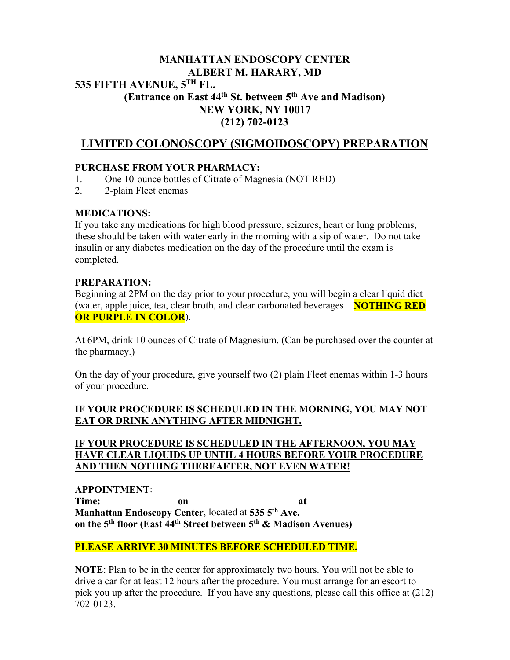## **MANHATTAN ENDOSCOPY CENTER ALBERT M. HARARY, MD 535 FIFTH AVENUE, 5TH FL. (Entrance on East 44th St. between 5th Ave and Madison) NEW YORK, NY 10017 (212) 702-0123**

# **LIMITED COLONOSCOPY (SIGMOIDOSCOPY) PREPARATION**

## **PURCHASE FROM YOUR PHARMACY:**

- 1. One 10-ounce bottles of Citrate of Magnesia (NOT RED)
- 2. 2-plain Fleet enemas

## **MEDICATIONS:**

If you take any medications for high blood pressure, seizures, heart or lung problems, these should be taken with water early in the morning with a sip of water. Do not take insulin or any diabetes medication on the day of the procedure until the exam is completed.

#### **PREPARATION:**

Beginning at 2PM on the day prior to your procedure, you will begin a clear liquid diet (water, apple juice, tea, clear broth, and clear carbonated beverages – **NOTHING RED OR PURPLE IN COLOR**).

At 6PM, drink 10 ounces of Citrate of Magnesium. (Can be purchased over the counter at the pharmacy.)

On the day of your procedure, give yourself two (2) plain Fleet enemas within 1-3 hours of your procedure.

## **IF YOUR PROCEDURE IS SCHEDULED IN THE MORNING, YOU MAY NOT EAT OR DRINK ANYTHING AFTER MIDNIGHT.**

## **IF YOUR PROCEDURE IS SCHEDULED IN THE AFTERNOON, YOU MAY HAVE CLEAR LIQUIDS UP UNTIL 4 HOURS BEFORE YOUR PROCEDURE AND THEN NOTHING THEREAFTER, NOT EVEN WATER!**

**APPOINTMENT**: **Time: \_\_\_\_\_\_\_\_\_\_\_\_\_\_ on \_\_\_\_\_\_\_\_\_\_\_\_\_\_\_\_\_\_\_\_\_ at Manhattan Endoscopy Center**, located at **535 5th Ave. on the 5th floor (East 44th Street between 5th & Madison Avenues)**

## **PLEASE ARRIVE 30 MINUTES BEFORE SCHEDULED TIME.**

**NOTE**: Plan to be in the center for approximately two hours. You will not be able to drive a car for at least 12 hours after the procedure. You must arrange for an escort to pick you up after the procedure. If you have any questions, please call this office at (212) 702-0123.